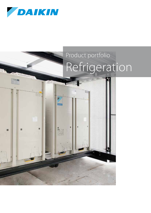

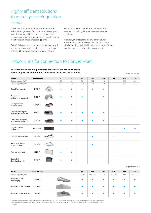## Highly efficient solutions to match your refrigeration needs

Daikin offers solutions for both commercial and industrial refrigeration. Our comprehensive range is suitable for many different environments – from convenience stores and supermarkets to cold storage warehouses and food processing plants.

Daikin's fully packaged outdoor units are assembled and tested rigorously in our factories. The units are protected by weather resistant housing made of

electro-galvanised steel with an anti-corrosion treatment, for a long life even in severe weather conditions.

Whether you are looking for low temperature or medium temperature refrigeration for applications with fluctuating loads, Daikin offers an energy-efficient solution for every refrigeration requirement.

## Indoor units for connection to Conveni-Pack

**To respond to all shop requirements for comfort cooling and heating, a wide range of VRV indoor units and Biddle air curtains are available.**

Capacity class (kW)

| Model                                              | <b>Product name</b> |     | 50  | 63   | 80   | 100  | 125                      | 140  | 200  | 250  |
|----------------------------------------------------|---------------------|-----|-----|------|------|------|--------------------------|------|------|------|
| Cooling capacity (kW) <sup>1</sup>                 |                     |     | 5.6 | 7.1  | 9.0  | 11.2 | 14.0                     | ÷,   | 22.4 | 28.0 |
| Heating capacity (kW) <sup>2</sup>                 |                     | 6.3 | 8.0 | 10.0 | 12.5 | 16.0 | $\overline{\phantom{a}}$ | 25.0 | 31.5 |      |
| Round flow cassette                                | FXFQ-A              |     |     |      |      |      |                          |      |      |      |
| 2-way blow<br>ceiling mounted cassette             | FXCQ-A              |     |     |      |      |      | ٠                        |      |      |      |
| Ceiling mounted<br>corner cassette                 | FXKQ-MA             |     |     |      |      |      |                          |      |      |      |
| Concealed ceiling unit<br>with inverter driven fan | FXSQ-P              |     |     |      |      |      |                          |      |      |      |
| Concealed ceiling unit<br>with inverter driven fan | FXMQ-P7             |     |     |      |      |      |                          |      |      |      |
| Large concealed<br>ceiling unit                    | FXMQ-MA             |     |     |      |      |      |                          |      |      |      |
| Ceiling suspended unit                             | FXHQ-A              |     |     |      |      |      |                          |      |      |      |
| 4-way blow ceiling<br>suspended unit               | FXUQ-A              |     |     |      |      |      |                          |      |      |      |
| Floor standing unit                                | FXLQ-P              |     |     |      |      |      |                          |      |      |      |
| Concealed<br>floor standing unit                   | FXNQ-P              |     |     |      |      |      |                          |      |      |      |

Capacity class (kW)

| Model                              | <b>Product Name</b> | 80          | 100           | 125  | 140           | 200  | 250           |
|------------------------------------|---------------------|-------------|---------------|------|---------------|------|---------------|
| Heating capacity (kW) <sup>2</sup> |                     | $7.4 - 9.2$ | $11.6 - 13.4$ | 15.6 | $16.2 - 19.9$ | 29.4 | $29.4 - 31.1$ |
| Biddle air curtain<br>free hanging | CYVS-DK             |             |               |      |               |      |               |
| Biddle air curtain cassette        | CYVM-DK             |             |               |      |               |      |               |
| Biddle air curtain recessed        | <b>CYVL-DK</b>      |             |               |      |               |      |               |

Nominal cooling capacities are based on: indoor temperature: 27°CDB / 19°CWB, outdoor temperature: 35°CDB, piping length: 7.5m, level difference: 0m<br>Nominal heating capacities are based on: indoor temperature: 20°CDB, outd

3 Optional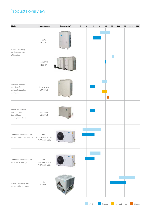## Products overview

| Model                                                                               | <b>Product name</b>                                 | Capacity (kW) | $\mathbf 0$ | $\mathbf{2}$ | 5 | 10 | ${\bf 25}$ | 50 | 100 | 150 | 300 | 450 |
|-------------------------------------------------------------------------------------|-----------------------------------------------------|---------------|-------------|--------------|---|----|------------|----|-----|-----|-----|-----|
| Inverter condensing<br>unit for commercial<br>refrigeration                         | ZEAS<br>LREQ-BY1                                    |               |             |              |   |    |            |    |     |     |     |     |
|                                                                                     | Multi ZEAS<br>LREQ-BY1                              |               |             |              |   |    |            |    |     |     |     |     |
| Integrated solution<br>for chilling, freezing<br>and comfort cooling<br>and heating | Conveni-Pack<br>LRYEQ-AY1                           |               |             |              |   |    |            |    |     |     |     |     |
| Booster unit to allow<br>both ZEAS and<br>Conveni-Pack<br>freezing applications     | Booster unit<br>LCBKQ-AV1                           |               |             |              |   |    |            |    |     |     |     |     |
| Commercial condensing units<br>with reciprocating technology JEHCCU-M1/M3/L1/L3     | $CCU$<br>JEHCCU-CM1/CM3                             |               |             |              |   |    |            |    |     |     |     |     |
| Commercial condensing units<br>with scroll technology                               | $\textsf{SCU}$<br>JEHSCU-M1/M3/L3<br>JEHSCU-CM1/CM3 |               |             |              |   |    |            |    |     |     |     |     |
| Inverter condensing unit<br>for industrial refrigeration                            | $\textsf{ICU}$<br>ICUHS-HA                          |               |             |              |   |    |            |    |     |     |     |     |